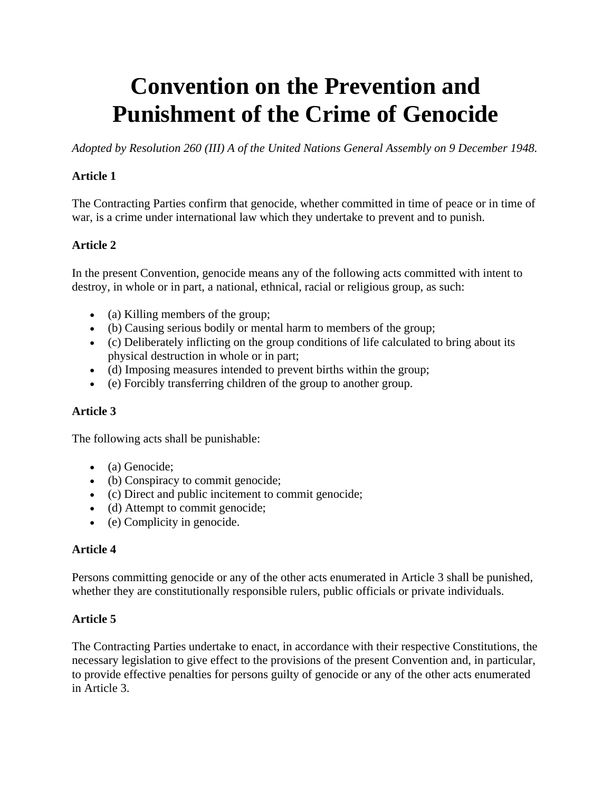# **Convention on the Prevention and Punishment of the Crime of Genocide**

*Adopted by Resolution 260 (III) A of the United Nations General Assembly on 9 December 1948.*

# **Article 1**

The Contracting Parties confirm that genocide, whether committed in time of peace or in time of war, is a crime under international law which they undertake to prevent and to punish.

# **Article 2**

In the present Convention, genocide means any of the following acts committed with intent to destroy, in whole or in part, a national, ethnical, racial or religious group, as such:

- (a) Killing members of the group;
- (b) Causing serious bodily or mental harm to members of the group;
- (c) Deliberately inflicting on the group conditions of life calculated to bring about its physical destruction in whole or in part;
- (d) Imposing measures intended to prevent births within the group;
- (e) Forcibly transferring children of the group to another group.

## **Article 3**

The following acts shall be punishable:

- (a) Genocide;
- (b) Conspiracy to commit genocide;
- (c) Direct and public incitement to commit genocide;
- (d) Attempt to commit genocide;
- (e) Complicity in genocide.

## **Article 4**

Persons committing genocide or any of the other acts enumerated in Article 3 shall be punished, whether they are constitutionally responsible rulers, public officials or private individuals.

## **Article 5**

The Contracting Parties undertake to enact, in accordance with their respective Constitutions, the necessary legislation to give effect to the provisions of the present Convention and, in particular, to provide effective penalties for persons guilty of genocide or any of the other acts enumerated in Article 3.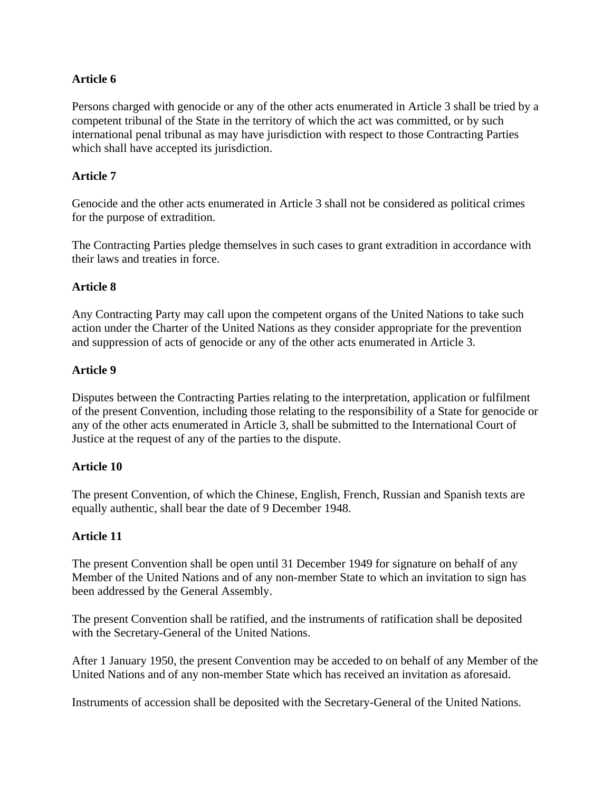## **Article 6**

Persons charged with genocide or any of the other acts enumerated in Article 3 shall be tried by a competent tribunal of the State in the territory of which the act was committed, or by such international penal tribunal as may have jurisdiction with respect to those Contracting Parties which shall have accepted its jurisdiction.

## **Article 7**

Genocide and the other acts enumerated in Article 3 shall not be considered as political crimes for the purpose of extradition.

The Contracting Parties pledge themselves in such cases to grant extradition in accordance with their laws and treaties in force.

## **Article 8**

Any Contracting Party may call upon the competent organs of the United Nations to take such action under the Charter of the United Nations as they consider appropriate for the prevention and suppression of acts of genocide or any of the other acts enumerated in Article 3.

## **Article 9**

Disputes between the Contracting Parties relating to the interpretation, application or fulfilment of the present Convention, including those relating to the responsibility of a State for genocide or any of the other acts enumerated in Article 3, shall be submitted to the International Court of Justice at the request of any of the parties to the dispute.

#### **Article 10**

The present Convention, of which the Chinese, English, French, Russian and Spanish texts are equally authentic, shall bear the date of 9 December 1948.

## **Article 11**

The present Convention shall be open until 31 December 1949 for signature on behalf of any Member of the United Nations and of any non-member State to which an invitation to sign has been addressed by the General Assembly.

The present Convention shall be ratified, and the instruments of ratification shall be deposited with the Secretary-General of the United Nations.

After 1 January 1950, the present Convention may be acceded to on behalf of any Member of the United Nations and of any non-member State which has received an invitation as aforesaid.

Instruments of accession shall be deposited with the Secretary-General of the United Nations.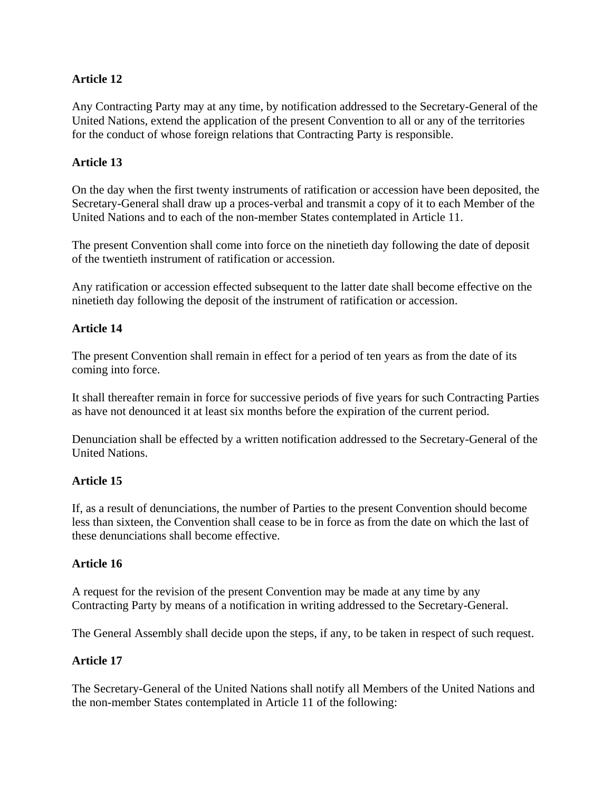# **Article 12**

Any Contracting Party may at any time, by notification addressed to the Secretary-General of the United Nations, extend the application of the present Convention to all or any of the territories for the conduct of whose foreign relations that Contracting Party is responsible.

# **Article 13**

On the day when the first twenty instruments of ratification or accession have been deposited, the Secretary-General shall draw up a proces-verbal and transmit a copy of it to each Member of the United Nations and to each of the non-member States contemplated in Article 11.

The present Convention shall come into force on the ninetieth day following the date of deposit of the twentieth instrument of ratification or accession.

Any ratification or accession effected subsequent to the latter date shall become effective on the ninetieth day following the deposit of the instrument of ratification or accession.

## **Article 14**

The present Convention shall remain in effect for a period of ten years as from the date of its coming into force.

It shall thereafter remain in force for successive periods of five years for such Contracting Parties as have not denounced it at least six months before the expiration of the current period.

Denunciation shall be effected by a written notification addressed to the Secretary-General of the United Nations.

## **Article 15**

If, as a result of denunciations, the number of Parties to the present Convention should become less than sixteen, the Convention shall cease to be in force as from the date on which the last of these denunciations shall become effective.

## **Article 16**

A request for the revision of the present Convention may be made at any time by any Contracting Party by means of a notification in writing addressed to the Secretary-General.

The General Assembly shall decide upon the steps, if any, to be taken in respect of such request.

## **Article 17**

The Secretary-General of the United Nations shall notify all Members of the United Nations and the non-member States contemplated in Article 11 of the following: